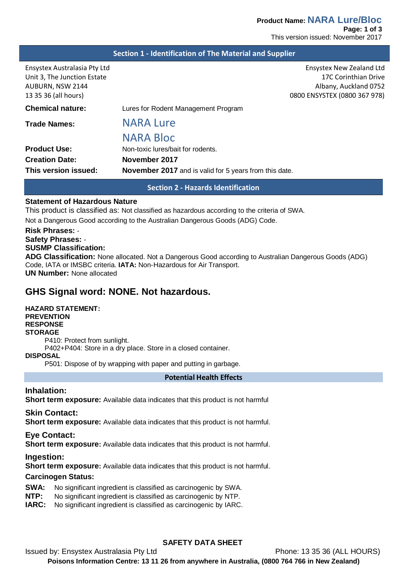|  |  | Section 1 - Identification of The Material and Supplier |
|--|--|---------------------------------------------------------|
|--|--|---------------------------------------------------------|

| Ensystex Australasia Pty Ltd<br>Unit 3, The Junction Estate<br>AUBURN, NSW 2144<br>13 35 36 (all hours) | Ensystex New Zealand Ltd<br>17C Corinthian Drive<br>Albany, Auckland 0752<br>0800 ENSYSTEX (0800 367 978) |
|---------------------------------------------------------------------------------------------------------|-----------------------------------------------------------------------------------------------------------|
| <b>Chemical nature:</b>                                                                                 | Lures for Rodent Management Program                                                                       |
| <b>Trade Names:</b>                                                                                     | <b>NARA Lure</b>                                                                                          |
|                                                                                                         | <b>NARA Bloc</b>                                                                                          |
| <b>Product Use:</b>                                                                                     | Non-toxic lures/bait for rodents.                                                                         |
| <b>Creation Date:</b>                                                                                   | November 2017                                                                                             |
| This version issued:                                                                                    | <b>November 2017</b> and is valid for 5 years from this date.                                             |
|                                                                                                         |                                                                                                           |

**Section 2 - Hazards Identification**

### **Statement of Hazardous Nature**

This product is classified as: Not classified as hazardous according to the criteria of SWA.

Not a Dangerous Good according to the Australian Dangerous Goods (ADG) Code.

# **Risk Phrases:** -

#### **Safety Phrases:** -

#### **SUSMP Classification:**

**ADG Classification:** None allocated. Not a Dangerous Good according to Australian Dangerous Goods (ADG) Code, IATA or IMSBC criteria. **IATA:** Non-Hazardous for Air Transport. **UN Number:** None allocated

# **GHS Signal word: NONE. Not hazardous.**

### **HAZARD STATEMENT: PREVENTION RESPONSE STORAGE** P410: Protect from sunlight. P402+P404: Store in a dry place. Store in a closed container. **DISPOSAL**

P501: Dispose of by wrapping with paper and putting in garbage.

### **Potential Health Effects**

## **Inhalation:**

**Short term exposure:** Available data indicates that this product is not harmful

### **Skin Contact:**

**Short term exposure:** Available data indicates that this product is not harmful.

### **Eye Contact:**

**Short term exposure:** Available data indicates that this product is not harmful.

### **Ingestion:**

**Short term exposure:** Available data indicates that this product is not harmful.

### **Carcinogen Status:**

- **SWA:** No significant ingredient is classified as carcinogenic by SWA.<br>**NTP:** No significant ingredient is classified as carcinogenic by NTP.
- No significant ingredient is classified as carcinogenic by NTP.
- **IARC:** No significant ingredient is classified as carcinogenic by IARC.

## **SAFETY DATA SHEET**

Issued by: Ensystex Australasia Pty Ltd Phone: 13 35 36 (ALL HOURS) **Poisons Information Centre: 13 11 26 from anywhere in Australia, (0800 764 766 in New Zealand)**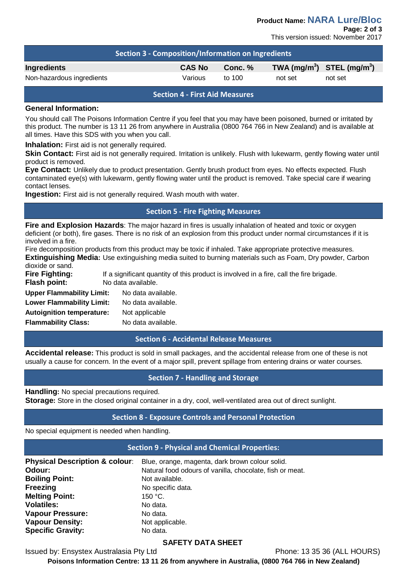**Product Name: NARA Lure/Bloc**

**Page: 2 of 3**

This version issued: November 2017

| Section 3 - Composition/Information on Ingredients |               |         |         |                                |
|----------------------------------------------------|---------------|---------|---------|--------------------------------|
| <b>Ingredients</b>                                 | <b>CAS No</b> | Conc. % |         | TWA $(mg/m^3)$ STEL $(mg/m^3)$ |
| Non-hazardous ingredients                          | Various       | to 100  | not set | not set                        |

### **Section 4 - First Aid Measures**

### **General Information:**

You should call The Poisons Information Centre if you feel that you may have been poisoned, burned or irritated by this product. The number is 13 11 26 from anywhere in Australia (0800 764 766 in New Zealand) and is available at all times. Have this SDS with you when you call.

**Inhalation:** First aid is not generally required.

**Skin Contact:** First aid is not generally required. Irritation is unlikely. Flush with lukewarm, gently flowing water until product is removed.

**Eye Contact:** Unlikely due to product presentation. Gently brush product from eyes. No effects expected. Flush contaminated eye(s) with lukewarm, gently flowing water until the product is removed. Take special care if wearing contact lenses.

**Ingestion:** First aid is not generally required. Wash mouth with water.

## **Section 5 - Fire Fighting Measures**

**Fire and Explosion Hazards**: The major hazard in fires is usually inhalation of heated and toxic or oxygen deficient (or both), fire gases. There is no risk of an explosion from this product under normal circumstances if it is involved in a fire.

Fire decomposition products from this product may be toxic if inhaled. Take appropriate protective measures. **Extinguishing Media:** Use extinguishing media suited to burning materials such as Foam, Dry powder, Carbon dioxide or sand.

| uioniuo oi ouriu.                |                                                                                         |
|----------------------------------|-----------------------------------------------------------------------------------------|
| Fire Fighting:                   | If a significant quantity of this product is involved in a fire, call the fire brigade. |
| Flash point:                     | No data available.                                                                      |
| <b>Upper Flammability Limit:</b> | No data available.                                                                      |
| <b>Lower Flammability Limit:</b> | No data available.                                                                      |
| <b>Autoignition temperature:</b> | Not applicable                                                                          |
| <b>Flammability Class:</b>       | No data available.                                                                      |

### **Section 6 - Accidental Release Measures**

**Accidental release:** This product is sold in small packages, and the accidental release from one of these is not usually a cause for concern. In the event of a major spill, prevent spillage from entering drains or water courses.

## **Section 7 - Handling and Storage**

**Handling:** No special precautions required.

**Storage:** Store in the closed original container in a dry, cool, well-ventilated area out of direct sunlight.

## **Section 8 - Exposure Controls and Personal Protection**

No special equipment is needed when handling.

### **Section 9 - Physical and Chemical Properties:**

| <b>Physical Description &amp; colour:</b> | Blue, orange, magenta, dark brown colour solid.          |
|-------------------------------------------|----------------------------------------------------------|
| Odour:                                    | Natural food odours of vanilla, chocolate, fish or meat. |
| <b>Boiling Point:</b>                     | Not available.                                           |
| <b>Freezing</b>                           | No specific data.                                        |
| <b>Melting Point:</b>                     | 150 °C.                                                  |
| <b>Volatiles:</b>                         | No data.                                                 |
| <b>Vapour Pressure:</b>                   | No data.                                                 |
| <b>Vapour Density:</b>                    | Not applicable.                                          |
| <b>Specific Gravity:</b>                  | No data.                                                 |

## **SAFETY DATA SHEET**

Issued by: Ensystex Australasia Pty Ltd Phone: 13 35 36 (ALL HOURS)

**Poisons Information Centre: 13 11 26 from anywhere in Australia, (0800 764 766 in New Zealand)**